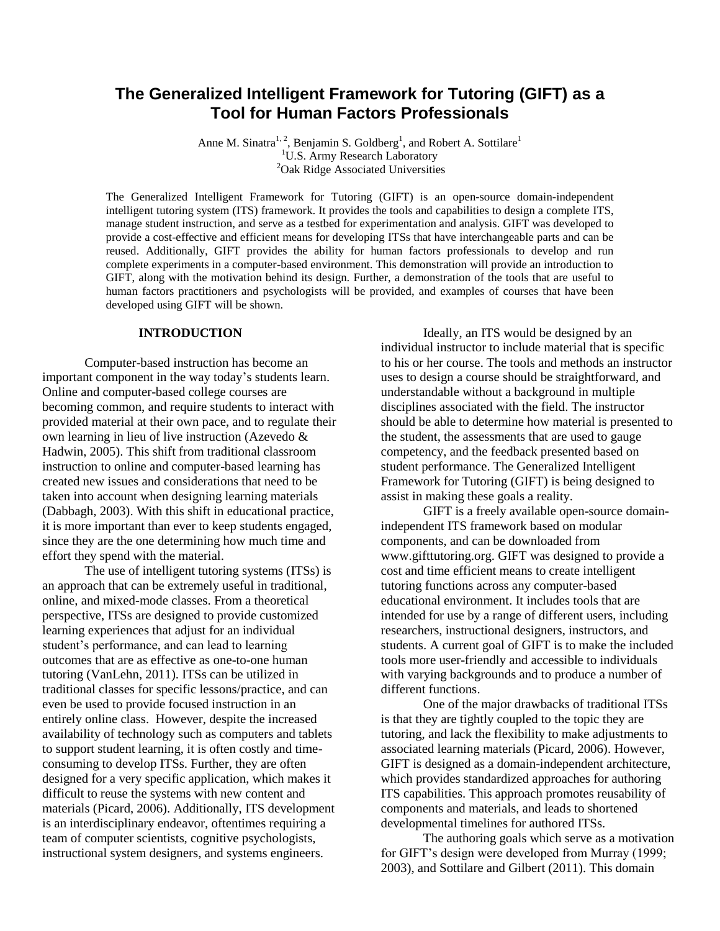# **The Generalized Intelligent Framework for Tutoring (GIFT) as a Tool for Human Factors Professionals**

Anne M. Sinatra<sup>1, 2</sup>, Benjamin S. Goldberg<sup>1</sup>, and Robert A. Sottilare<sup>1</sup> <sup>1</sup>U.S. Army Research Laboratory <sup>2</sup>Oak Ridge Associated Universities

The Generalized Intelligent Framework for Tutoring (GIFT) is an open-source domain-independent intelligent tutoring system (ITS) framework. It provides the tools and capabilities to design a complete ITS, manage student instruction, and serve as a testbed for experimentation and analysis. GIFT was developed to provide a cost-effective and efficient means for developing ITSs that have interchangeable parts and can be reused. Additionally, GIFT provides the ability for human factors professionals to develop and run complete experiments in a computer-based environment. This demonstration will provide an introduction to GIFT, along with the motivation behind its design. Further, a demonstration of the tools that are useful to human factors practitioners and psychologists will be provided, and examples of courses that have been developed using GIFT will be shown.

## **INTRODUCTION**

Computer-based instruction has become an important component in the way today's students learn. Online and computer-based college courses are becoming common, and require students to interact with provided material at their own pace, and to regulate their own learning in lieu of live instruction (Azevedo & Hadwin, 2005). This shift from traditional classroom instruction to online and computer-based learning has created new issues and considerations that need to be taken into account when designing learning materials (Dabbagh, 2003). With this shift in educational practice, it is more important than ever to keep students engaged, since they are the one determining how much time and effort they spend with the material.

The use of intelligent tutoring systems (ITSs) is an approach that can be extremely useful in traditional, online, and mixed-mode classes. From a theoretical perspective, ITSs are designed to provide customized learning experiences that adjust for an individual student's performance, and can lead to learning outcomes that are as effective as one-to-one human tutoring (VanLehn, 2011). ITSs can be utilized in traditional classes for specific lessons/practice, and can even be used to provide focused instruction in an entirely online class. However, despite the increased availability of technology such as computers and tablets to support student learning, it is often costly and timeconsuming to develop ITSs. Further, they are often designed for a very specific application, which makes it difficult to reuse the systems with new content and materials (Picard, 2006). Additionally, ITS development is an interdisciplinary endeavor, oftentimes requiring a team of computer scientists, cognitive psychologists, instructional system designers, and systems engineers.

Ideally, an ITS would be designed by an individual instructor to include material that is specific to his or her course. The tools and methods an instructor uses to design a course should be straightforward, and understandable without a background in multiple disciplines associated with the field. The instructor should be able to determine how material is presented to the student, the assessments that are used to gauge competency, and the feedback presented based on student performance. The Generalized Intelligent Framework for Tutoring (GIFT) is being designed to assist in making these goals a reality.

GIFT is a freely available open-source domainindependent ITS framework based on modular components, and can be downloaded from www.gifttutoring.org. GIFT was designed to provide a cost and time efficient means to create intelligent tutoring functions across any computer-based educational environment. It includes tools that are intended for use by a range of different users, including researchers, instructional designers, instructors, and students. A current goal of GIFT is to make the included tools more user-friendly and accessible to individuals with varying backgrounds and to produce a number of different functions.

One of the major drawbacks of traditional ITSs is that they are tightly coupled to the topic they are tutoring, and lack the flexibility to make adjustments to associated learning materials (Picard, 2006). However, GIFT is designed as a domain-independent architecture, which provides standardized approaches for authoring ITS capabilities. This approach promotes reusability of components and materials, and leads to shortened developmental timelines for authored ITSs.

The authoring goals which serve as a motivation for GIFT's design were developed from Murray (1999; 2003), and Sottilare and Gilbert (2011). This domain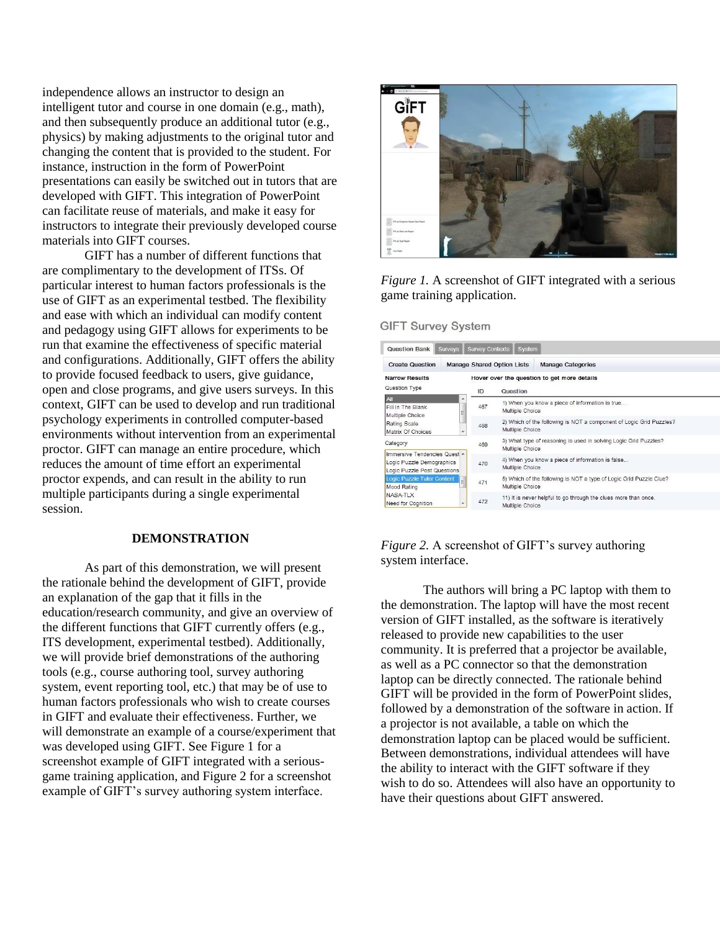independence allows an instructor to design an intelligent tutor and course in one domain (e.g., math), and then subsequently produce an additional tutor (e.g., physics) by making adjustments to the original tutor and changing the content that is provided to the student. For instance, instruction in the form of PowerPoint presentations can easily be switched out in tutors that are developed with GIFT. This integration of PowerPoint can facilitate reuse of materials, and make it easy for instructors to integrate their previously developed course materials into GIFT courses.

GIFT has a number of different functions that are complimentary to the development of ITSs. Of particular interest to human factors professionals is the use of GIFT as an experimental testbed. The flexibility and ease with which an individual can modify content and pedagogy using GIFT allows for experiments to be run that examine the effectiveness of specific material and configurations. Additionally, GIFT offers the ability to provide focused feedback to users, give guidance, open and close programs, and give users surveys. In this context, GIFT can be used to develop and run traditional psychology experiments in controlled computer-based environments without intervention from an experimental proctor. GIFT can manage an entire procedure, which reduces the amount of time effort an experimental proctor expends, and can result in the ability to run multiple participants during a single experimental session.

## **DEMONSTRATION**

As part of this demonstration, we will present the rationale behind the development of GIFT, provide an explanation of the gap that it fills in the education/research community, and give an overview of the different functions that GIFT currently offers (e.g., ITS development, experimental testbed). Additionally, we will provide brief demonstrations of the authoring tools (e.g., course authoring tool, survey authoring system, event reporting tool, etc.) that may be of use to human factors professionals who wish to create courses in GIFT and evaluate their effectiveness. Further, we will demonstrate an example of a course/experiment that was developed using GIFT. See Figure 1 for a screenshot example of GIFT integrated with a seriousgame training application, and Figure 2 for a screenshot example of GIFT's survey authoring system interface.



*Figure 1.* A screenshot of GIFT integrated with a serious game training application.

#### **GIFT Survey System**

| <b>Question Bank</b>                                                                                 | <b>Surveys</b> | <b>Survey Contexts</b> | System                                                                                 |                                                                    |  |
|------------------------------------------------------------------------------------------------------|----------------|------------------------|----------------------------------------------------------------------------------------|--------------------------------------------------------------------|--|
| <b>Create Question</b>                                                                               |                |                        | <b>Manage Shared Option Lists</b>                                                      | <b>Manage Categories</b>                                           |  |
| <b>Narrow Results</b>                                                                                |                |                        |                                                                                        | Hover over the question to get more details                        |  |
| Question Type                                                                                        |                | ID                     | Question                                                                               |                                                                    |  |
| All<br>۸<br>Fill In The Blank<br>Multiple Choice<br>Rating Scale<br>Matrix Of Choices<br>٠           |                | 467                    | 1) When you know a piece of information is true<br>Multiple Choice                     |                                                                    |  |
|                                                                                                      |                | 468                    | 2) Which of the following is NOT a component of Logic Grid Puzzles?<br>Multiple Choice |                                                                    |  |
| Category<br>Immersive Tendencies Quest A<br>Logic Puzzle Demographics<br>Logic Puzzle Post Questions |                | 469                    | 3) What type of reasoning is used in solving Logic Grid Puzzles?<br>Multiple Choice    |                                                                    |  |
|                                                                                                      |                | 470                    | 4) When you know a piece of information is false<br>Multiple Choice                    |                                                                    |  |
| <b>Logic Puzzle Tutor Content</b><br>Mood Rating                                                     |                | E.<br>471              | Multiple Choice                                                                        | 5) Which of the following is NOT a type of Logic Grid Puzzle Clue? |  |
| NASA-TLX<br>Need for Cognition                                                                       |                | 472<br>۰               | Multinle Choice                                                                        | 11) It is never helpful to go through the clues more than once.    |  |

*Figure 2.* A screenshot of GIFT's survey authoring system interface.

The authors will bring a PC laptop with them to the demonstration. The laptop will have the most recent version of GIFT installed, as the software is iteratively released to provide new capabilities to the user community. It is preferred that a projector be available, as well as a PC connector so that the demonstration laptop can be directly connected. The rationale behind GIFT will be provided in the form of PowerPoint slides, followed by a demonstration of the software in action. If a projector is not available, a table on which the demonstration laptop can be placed would be sufficient. Between demonstrations, individual attendees will have the ability to interact with the GIFT software if they wish to do so. Attendees will also have an opportunity to have their questions about GIFT answered.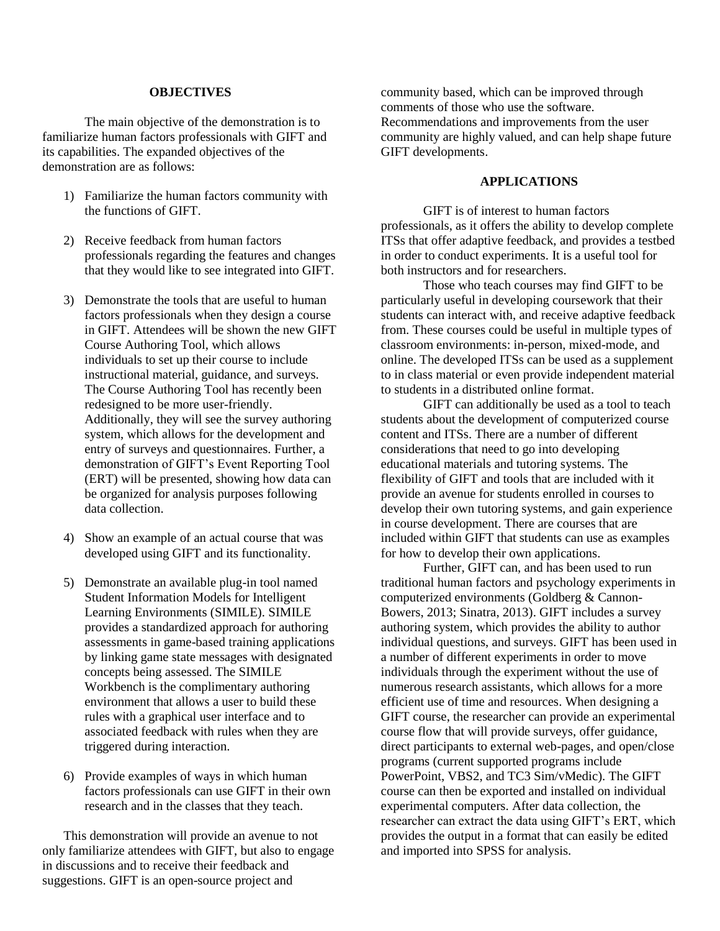#### **OBJECTIVES**

The main objective of the demonstration is to familiarize human factors professionals with GIFT and its capabilities. The expanded objectives of the demonstration are as follows:

- 1) Familiarize the human factors community with the functions of GIFT.
- 2) Receive feedback from human factors professionals regarding the features and changes that they would like to see integrated into GIFT.
- 3) Demonstrate the tools that are useful to human factors professionals when they design a course in GIFT. Attendees will be shown the new GIFT Course Authoring Tool, which allows individuals to set up their course to include instructional material, guidance, and surveys. The Course Authoring Tool has recently been redesigned to be more user-friendly. Additionally, they will see the survey authoring system, which allows for the development and entry of surveys and questionnaires. Further, a demonstration of GIFT's Event Reporting Tool (ERT) will be presented, showing how data can be organized for analysis purposes following data collection.
- 4) Show an example of an actual course that was developed using GIFT and its functionality.
- 5) Demonstrate an available plug-in tool named Student Information Models for Intelligent Learning Environments (SIMILE). SIMILE provides a standardized approach for authoring assessments in game-based training applications by linking game state messages with designated concepts being assessed. The SIMILE Workbench is the complimentary authoring environment that allows a user to build these rules with a graphical user interface and to associated feedback with rules when they are triggered during interaction.
- 6) Provide examples of ways in which human factors professionals can use GIFT in their own research and in the classes that they teach.

This demonstration will provide an avenue to not only familiarize attendees with GIFT, but also to engage in discussions and to receive their feedback and suggestions. GIFT is an open-source project and

community based, which can be improved through comments of those who use the software. Recommendations and improvements from the user community are highly valued, and can help shape future GIFT developments.

## **APPLICATIONS**

GIFT is of interest to human factors professionals, as it offers the ability to develop complete ITSs that offer adaptive feedback, and provides a testbed in order to conduct experiments. It is a useful tool for both instructors and for researchers.

Those who teach courses may find GIFT to be particularly useful in developing coursework that their students can interact with, and receive adaptive feedback from. These courses could be useful in multiple types of classroom environments: in-person, mixed-mode, and online. The developed ITSs can be used as a supplement to in class material or even provide independent material to students in a distributed online format.

GIFT can additionally be used as a tool to teach students about the development of computerized course content and ITSs. There are a number of different considerations that need to go into developing educational materials and tutoring systems. The flexibility of GIFT and tools that are included with it provide an avenue for students enrolled in courses to develop their own tutoring systems, and gain experience in course development. There are courses that are included within GIFT that students can use as examples for how to develop their own applications.

Further, GIFT can, and has been used to run traditional human factors and psychology experiments in computerized environments (Goldberg & Cannon-Bowers, 2013; Sinatra, 2013). GIFT includes a survey authoring system, which provides the ability to author individual questions, and surveys. GIFT has been used in a number of different experiments in order to move individuals through the experiment without the use of numerous research assistants, which allows for a more efficient use of time and resources. When designing a GIFT course, the researcher can provide an experimental course flow that will provide surveys, offer guidance, direct participants to external web-pages, and open/close programs (current supported programs include PowerPoint, VBS2, and TC3 Sim/vMedic). The GIFT course can then be exported and installed on individual experimental computers. After data collection, the researcher can extract the data using GIFT's ERT, which provides the output in a format that can easily be edited and imported into SPSS for analysis.